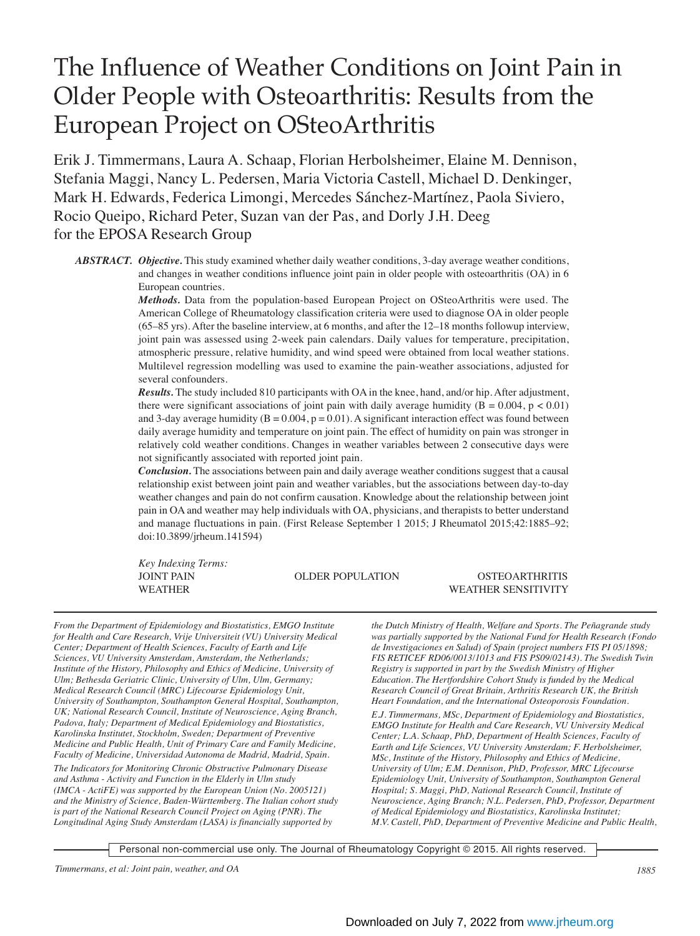# The Influence of Weather Conditions on Joint Pain in Older People with Osteoarthritis: Results from the European Project on OSteoArthritis

Erik J. Timmermans, Laura A. Schaap, Florian Herbolsheimer, Elaine M. Dennison, Stefania Maggi, Nancy L. Pedersen, Maria Victoria Castell, Michael D. Denkinger, Mark H. Edwards, Federica Limongi, Mercedes Sánchez-Martínez, Paola Siviero, Rocio Queipo, Richard Peter, Suzan van der Pas, and Dorly J.H. Deeg for the EPOSA Research Group

*ABSTRACT. Objective.* This study examined whether daily weather conditions, 3-day average weather conditions, and changes in weather conditions influence joint pain in older people with osteoarthritis (OA) in 6 European countries.

> *Methods.* Data from the population-based European Project on OSteoArthritis were used. The American College of Rheumatology classification criteria were used to diagnose OA in older people (65–85 yrs). After the baseline interview, at 6 months, and after the 12–18 months followup interview, joint pain was assessed using 2-week pain calendars. Daily values for temperature, precipitation, atmospheric pressure, relative humidity, and wind speed were obtained from local weather stations. Multilevel regression modelling was used to examine the pain-weather associations, adjusted for several confounders.

> *Results.* The study included 810 participants with OA in the knee, hand, and/or hip. After adjustment, there were significant associations of joint pain with daily average humidity ( $B = 0.004$ ,  $p < 0.01$ ) and 3-day average humidity ( $B = 0.004$ ,  $p = 0.01$ ). A significant interaction effect was found between daily average humidity and temperature on joint pain. The effect of humidity on pain was stronger in relatively cold weather conditions. Changes in weather variables between 2 consecutive days were not significantly associated with reported joint pain.

> *Conclusion.* The associations between pain and daily average weather conditions suggest that a causal relationship exist between joint pain and weather variables, but the associations between day-to-day weather changes and pain do not confirm causation. Knowledge about the relationship between joint pain in OA and weather may help individuals with OA, physicians, and therapists to better understand and manage fluctuations in pain. (First Release September 1 2015; J Rheumatol 2015;42:1885–92; doi:10.3899/jrheum.141594)

*Key Indexing Terms:*

#### JOINT PAIN OLDER POPULATION OSTEOARTHRITIS WEATHER SENSITIVITY

*From the Department of Epidemiology and Biostatistics, EMGO Institute for Health and Care Research, Vrije Universiteit (VU) University Medical Center; Department of Health Sciences, Faculty of Earth and Life Sciences, VU University Amsterdam, Amsterdam, the Netherlands; Institute of the History, Philosophy and Ethics of Medicine, University of Ulm; Bethesda Geriatric Clinic, University of Ulm, Ulm, Germany; Medical Research Council (MRC) Lifecourse Epidemiology Unit, University of Southampton, Southampton General Hospital, Southampton, UK; National Research Council, Institute of Neuroscience, Aging Branch, Padova, Italy; Department of Medical Epidemiology and Biostatistics, Karolinska Institutet, Stockholm, Sweden; Department of Preventive Medicine and Public Health, Unit of Primary Care and Family Medicine, Faculty of Medicine, Universidad Autonoma de Madrid, Madrid, Spain.*

*The Indicators for Monitoring Chronic Obstructive Pulmonary Disease and Asthma - Activity and Function in the Elderly in Ulm study (IMCA - ActiFE) was supported by the European Union (No. 2005121) and the Ministry of Science, Baden-Württemberg. The Italian cohort study is part of the National Research Council Project on Aging (PNR). The Longitudinal Aging Study Amsterdam (LASA) is financially supported by*

*the Dutch Ministry of Health, Welfare and Sports. The Peñagrande study was partially supported by the National Fund for Health Research (Fondo de Investigaciones en Salud) of Spain (project numbers FIS PI 05/1898; FIS RETICEF RD06/0013/1013 and FIS PS09/02143). The Swedish Twin Registry is supported in part by the Swedish Ministry of Higher Education. The Hertfordshire Cohort Study is funded by the Medical Research Council of Great Britain, Arthritis Research UK, the British Heart Foundation, and the International Osteoporosis Foundation.*

*E.J. Timmermans, MSc, Department of Epidemiology and Biostatistics, EMGO Institute for Health and Care Research, VU University Medical Center; L.A. Schaap, PhD, Department of Health Sciences, Faculty of Earth and Life Sciences, VU University Amsterdam; F. Herbolsheimer, MSc, Institute of the History, Philosophy and Ethics of Medicine, University of Ulm; E.M. Dennison, PhD, Professor, MRC Lifecourse Epidemiology Unit, University of Southampton, Southampton General Hospital; S. Maggi, PhD, National Research Council, Institute of Neuroscience, Aging Branch; N.L. Pedersen, PhD, Professor, Department of Medical Epidemiology and Biostatistics, Karolinska Institutet; M.V. Castell, PhD, Department of Preventive Medicine and Public Health,*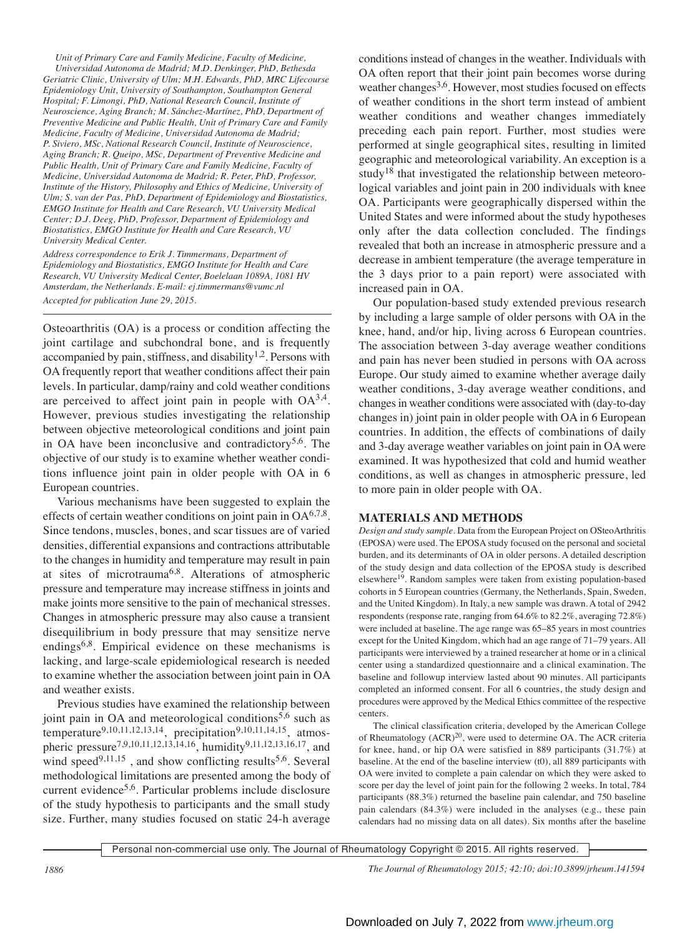*Unit of Primary Care and Family Medicine, Faculty of Medicine, Universidad Autonoma de Madrid; M.D. Denkinger, PhD, Bethesda Geriatric Clinic, University of Ulm; M.H. Edwards, PhD, MRC Lifecourse Epidemiology Unit, University of Southampton, Southampton General Hospital; F. Limongi, PhD, National Research Council, Institute of Neuroscience, Aging Branch; M. Sánchez-Martínez, PhD, Department of Preventive Medicine and Public Health, Unit of Primary Care and Family Medicine, Faculty of Medicine, Universidad Autonoma de Madrid; P. Siviero, MSc, National Research Council, Institute of Neuroscience, Aging Branch; R. Queipo, MSc, Department of Preventive Medicine and Public Health, Unit of Primary Care and Family Medicine, Faculty of Medicine, Universidad Autonoma de Madrid; R. Peter, PhD, Professor, Institute of the History, Philosophy and Ethics of Medicine, University of Ulm; S. van der Pas, PhD, Department of Epidemiology and Biostatistics, EMGO Institute for Health and Care Research, VU University Medical Center; D.J. Deeg, PhD, Professor, Department of Epidemiology and Biostatistics, EMGO Institute for Health and Care Research, VU University Medical Center.*

*Address correspondence to Erik J. Timmermans, Department of Epidemiology and Biostatistics, EMGO Institute for Health and Care Research, VU University Medical Center, Boelelaan 1089A, 1081 HV Amsterdam, the Netherlands. E-mail: ej.timmermans@vumc.nl Accepted for publication June 29, 2015.*

Osteoarthritis (OA) is a process or condition affecting the joint cartilage and subchondral bone, and is frequently accompanied by pain, stiffness, and disability<sup>1,2</sup>. Persons with OA frequently report that weather conditions affect their pain levels. In particular, damp/rainy and cold weather conditions are perceived to affect joint pain in people with  $OA^{3,4}$ . However, previous studies investigating the relationship between objective meteorological conditions and joint pain in OA have been inconclusive and contradictory<sup>5,6</sup>. The objective of our study is to examine whether weather conditions influence joint pain in older people with OA in 6 European countries.

Various mechanisms have been suggested to explain the effects of certain weather conditions on joint pain in  $OA^{6,7,8}$ . Since tendons, muscles, bones, and scar tissues are of varied densities, differential expansions and contractions attributable to the changes in humidity and temperature may result in pain at sites of microtrauma6,8. Alterations of atmospheric pressure and temperature may increase stiffness in joints and make joints more sensitive to the pain of mechanical stresses. Changes in atmospheric pressure may also cause a transient disequilibrium in body pressure that may sensitize nerve endings $6.8$ . Empirical evidence on these mechanisms is lacking, and large-scale epidemiological research is needed to examine whether the association between joint pain in OA and weather exists.

Previous studies have examined the relationship between joint pain in OA and meteorological conditions<sup>5,6</sup> such as temperature<sup>9,10,11,12,13,14</sup>, precipitation<sup>9,10,11,14,15</sup>, atmospheric pressure<sup>7,9,10,11,12,13,14,16</sup>, humidity<sup>9,11,12,13,16,17</sup>, and wind speed<sup>9,11,15</sup>, and show conflicting results<sup>5,6</sup>. Several methodological limitations are presented among the body of current evidence<sup>5,6</sup>. Particular problems include disclosure of the study hypothesis to participants and the small study size. Further, many studies focused on static 24-h average

conditions instead of changes in the weather. Individuals with OA often report that their joint pain becomes worse during weather changes<sup>3,6</sup>. However, most studies focused on effects of weather conditions in the short term instead of ambient weather conditions and weather changes immediately preceding each pain report. Further, most studies were performed at single geographical sites, resulting in limited geographic and meteorological variability. An exception is a study<sup>18</sup> that investigated the relationship between meteorological variables and joint pain in 200 individuals with knee OA. Participants were geographically dispersed within the United States and were informed about the study hypotheses only after the data collection concluded. The findings revealed that both an increase in atmospheric pressure and a decrease in ambient temperature (the average temperature in the 3 days prior to a pain report) were associated with increased pain in OA.

Our population-based study extended previous research by including a large sample of older persons with OA in the knee, hand, and/or hip, living across 6 European countries. The association between 3-day average weather conditions and pain has never been studied in persons with OA across Europe. Our study aimed to examine whether average daily weather conditions, 3-day average weather conditions, and changes in weather conditions were associated with (day-to-day changes in) joint pain in older people with OA in 6 European countries. In addition, the effects of combinations of daily and 3-day average weather variables on joint pain in OA were examined. It was hypothesized that cold and humid weather conditions, as well as changes in atmospheric pressure, led to more pain in older people with OA.

# **MATERIALS AND METHODS**

*Design and study sample.* Data from the European Project on OSteoArthritis (EPOSA) were used. The EPOSA study focused on the personal and societal burden, and its determinants of OA in older persons. A detailed description of the study design and data collection of the EPOSA study is described elsewhere19. Random samples were taken from existing population-based cohorts in 5 European countries (Germany, the Netherlands, Spain, Sweden, and the United Kingdom). In Italy, a new sample was drawn. A total of 2942 respondents (response rate, ranging from 64.6% to 82.2%, averaging 72.8%) were included at baseline. The age range was 65–85 years in most countries except for the United Kingdom, which had an age range of 71–79 years. All participants were interviewed by a trained researcher at home or in a clinical center using a standardized questionnaire and a clinical examination. The baseline and followup interview lasted about 90 minutes. All participants completed an informed consent. For all 6 countries, the study design and procedures were approved by the Medical Ethics committee of the respective centers.

The clinical classification criteria, developed by the American College of Rheumatology  $(ACR)^{20}$ , were used to determine OA. The ACR criteria for knee, hand, or hip OA were satisfied in 889 participants (31.7%) at baseline. At the end of the baseline interview (t0), all 889 participants with OA were invited to complete a pain calendar on which they were asked to score per day the level of joint pain for the following 2 weeks. In total, 784 participants (88.3%) returned the baseline pain calendar, and 750 baseline pain calendars (84.3%) were included in the analyses (e.g., these pain calendars had no missing data on all dates). Six months after the baseline

Personal non-commercial use only. The Journal of Rheumatology Copyright © 2015. All rights reserved.

*1886 The Journal of Rheumatology 2015; 42:10; doi:10.3899/jrheum.141594*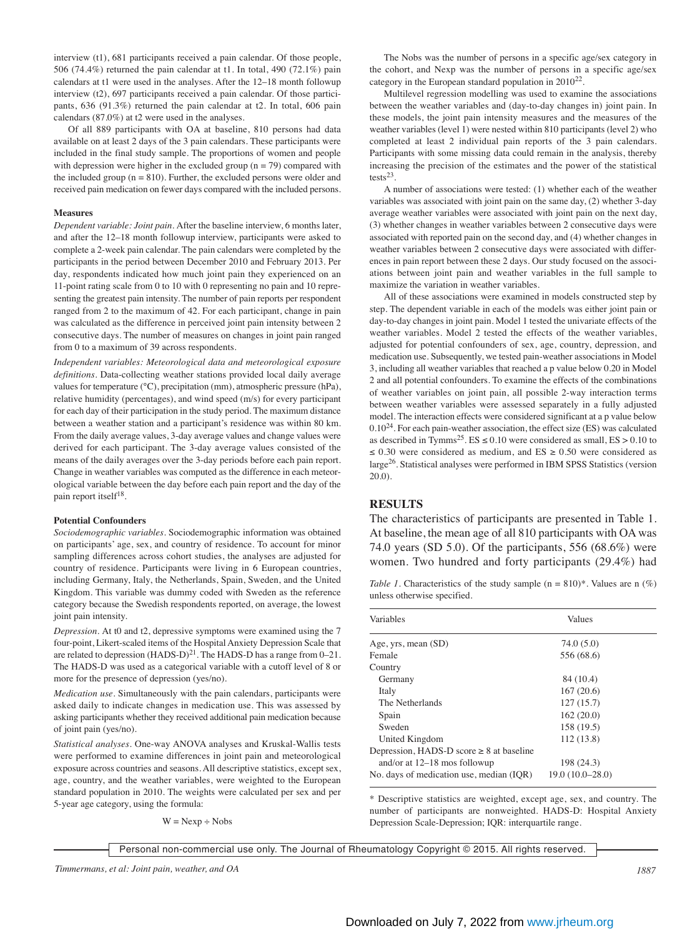interview (t1), 681 participants received a pain calendar. Of those people, 506 (74.4%) returned the pain calendar at t1. In total, 490 (72.1%) pain calendars at t1 were used in the analyses. After the 12–18 month followup interview (t2), 697 participants received a pain calendar. Of those participants, 636 (91.3%) returned the pain calendar at t2. In total, 606 pain calendars (87.0%) at t2 were used in the analyses.

Of all 889 participants with OA at baseline, 810 persons had data available on at least 2 days of the 3 pain calendars. These participants were included in the final study sample. The proportions of women and people with depression were higher in the excluded group  $(n = 79)$  compared with the included group  $(n = 810)$ . Further, the excluded persons were older and received pain medication on fewer days compared with the included persons.

#### **Measures**

*Dependent variable: Joint pain.* After the baseline interview, 6 months later, and after the 12–18 month followup interview, participants were asked to complete a 2-week pain calendar. The pain calendars were completed by the participants in the period between December 2010 and February 2013. Per day, respondents indicated how much joint pain they experienced on an 11-point rating scale from 0 to 10 with 0 representing no pain and 10 representing the greatest pain intensity. The number of pain reports per respondent ranged from 2 to the maximum of 42. For each participant, change in pain was calculated as the difference in perceived joint pain intensity between 2 consecutive days. The number of measures on changes in joint pain ranged from 0 to a maximum of 39 across respondents.

*Independent variables: Meteorological data and meteorological exposure definitions.* Data-collecting weather stations provided local daily average values for temperature (°C), precipitation (mm), atmospheric pressure (hPa), relative humidity (percentages), and wind speed (m/s) for every participant for each day of their participation in the study period. The maximum distance between a weather station and a participant's residence was within 80 km. From the daily average values, 3-day average values and change values were derived for each participant. The 3-day average values consisted of the means of the daily averages over the 3-day periods before each pain report. Change in weather variables was computed as the difference in each meteorological variable between the day before each pain report and the day of the pain report itself<sup>18</sup>.

#### **Potential Confounders**

*Sociodemographic variables.* Sociodemographic information was obtained on participants' age, sex, and country of residence. To account for minor sampling differences across cohort studies, the analyses are adjusted for country of residence. Participants were living in 6 European countries, including Germany, Italy, the Netherlands, Spain, Sweden, and the United Kingdom. This variable was dummy coded with Sweden as the reference category because the Swedish respondents reported, on average, the lowest joint pain intensity.

*Depression.* At t0 and t2, depressive symptoms were examined using the 7 four-point, Likert-scaled items of the Hospital Anxiety Depression Scale that are related to depression  $(HADS-D)^{21}$ . The  $HADS-D$  has a range from  $0-21$ . The HADS-D was used as a categorical variable with a cutoff level of 8 or more for the presence of depression (yes/no).

*Medication use.* Simultaneously with the pain calendars, participants were asked daily to indicate changes in medication use. This was assessed by asking participants whether they received additional pain medication because of joint pain (yes/no).

*Statistical analyses.* One-way ANOVA analyses and Kruskal-Wallis tests were performed to examine differences in joint pain and meteorological exposure across countries and seasons. All descriptive statistics, except sex, age, country, and the weather variables, were weighted to the European standard population in 2010. The weights were calculated per sex and per 5-year age category, using the formula:

 $W = Newp + Nobs$ 

The Nobs was the number of persons in a specific age/sex category in the cohort, and Nexp was the number of persons in a specific age/sex category in the European standard population in 201022.

Multilevel regression modelling was used to examine the associations between the weather variables and (day-to-day changes in) joint pain. In these models, the joint pain intensity measures and the measures of the weather variables (level 1) were nested within 810 participants (level 2) who completed at least 2 individual pain reports of the 3 pain calendars. Participants with some missing data could remain in the analysis, thereby increasing the precision of the estimates and the power of the statistical tests $23$ 

A number of associations were tested: (1) whether each of the weather variables was associated with joint pain on the same day, (2) whether 3-day average weather variables were associated with joint pain on the next day, (3) whether changes in weather variables between 2 consecutive days were associated with reported pain on the second day, and (4) whether changes in weather variables between 2 consecutive days were associated with differences in pain report between these 2 days. Our study focused on the associations between joint pain and weather variables in the full sample to maximize the variation in weather variables.

All of these associations were examined in models constructed step by step. The dependent variable in each of the models was either joint pain or day-to-day changes in joint pain. Model 1 tested the univariate effects of the weather variables. Model 2 tested the effects of the weather variables, adjusted for potential confounders of sex, age, country, depression, and medication use. Subsequently, we tested pain-weather associations in Model 3, including all weather variables that reached a p value below 0.20 in Model 2 and all potential confounders. To examine the effects of the combinations of weather variables on joint pain, all possible 2-way interaction terms between weather variables were assessed separately in a fully adjusted model. The interaction effects were considered significant at a p value below  $0.10^{24}$ . For each pain-weather association, the effect size (ES) was calculated as described in Tymms<sup>25</sup>. ES  $\leq$  0.10 were considered as small, ES  $>$  0.10 to ≤ 0.30 were considered as medium, and ES ≥ 0.50 were considered as large26. Statistical analyses were performed in IBM SPSS Statistics (version 20.0).

#### **RESULTS**

The characteristics of participants are presented in Table 1. At baseline, the mean age of all 810 participants with OA was 74.0 years (SD 5.0). Of the participants, 556 (68.6%) were women. Two hundred and forty participants (29.4%) had

*Table 1.* Characteristics of the study sample  $(n = 810)^*$ . Values are n  $(\%)$ unless otherwise specified.

| Variables                                     | Values            |  |
|-----------------------------------------------|-------------------|--|
| Age, yrs, mean (SD)                           | 74.0 (5.0)        |  |
| Female                                        | 556 (68.6)        |  |
| Country                                       |                   |  |
| Germany                                       | 84 (10.4)         |  |
| Italy                                         | 167(20.6)         |  |
| The Netherlands                               | 127(15.7)         |  |
| Spain                                         | 162(20.0)         |  |
| Sweden                                        | 158 (19.5)        |  |
| United Kingdom                                | 112(13.8)         |  |
| Depression, HADS-D score $\geq 8$ at baseline |                   |  |
| and/or at $12-18$ mos followup                | 198 (24.3)        |  |
| No. days of medication use, median (IOR)      | $19.0(10.0-28.0)$ |  |

\* Descriptive statistics are weighted, except age, sex, and country. The number of participants are nonweighted. HADS-D: Hospital Anxiety Depression Scale-Depression; IQR: interquartile range.

*Timmermans, et al: Joint pain, weather, and OA 1887*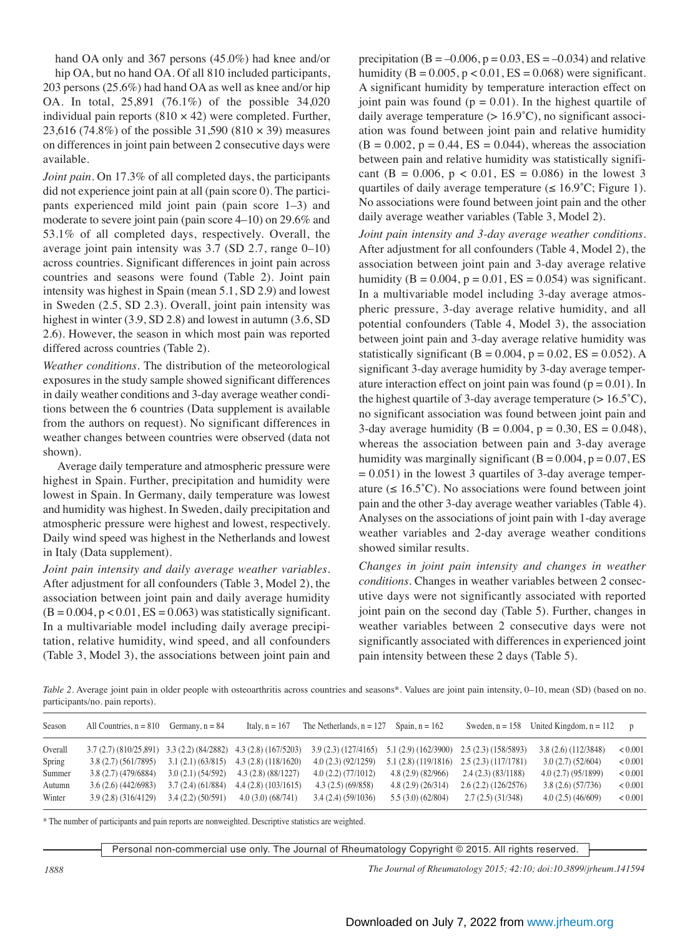hand OA only and 367 persons (45.0%) had knee and/or hip OA, but no hand OA. Of all 810 included participants, 203 persons (25.6%) had hand OA as well as knee and/or hip OA. In total, 25,891 (76.1%) of the possible 34,020 individual pain reports ( $810 \times 42$ ) were completed. Further, 23,616 (74.8%) of the possible 31,590 (810 × 39) measures on differences in joint pain between 2 consecutive days were available.

*Joint pain.* On 17.3% of all completed days, the participants did not experience joint pain at all (pain score 0). The participants experienced mild joint pain (pain score 1–3) and moderate to severe joint pain (pain score 4–10) on 29.6% and 53.1% of all completed days, respectively. Overall, the average joint pain intensity was 3.7 (SD 2.7, range 0–10) across countries. Significant differences in joint pain across countries and seasons were found (Table 2). Joint pain intensity was highest in Spain (mean 5.1, SD 2.9) and lowest in Sweden (2.5, SD 2.3). Overall, joint pain intensity was highest in winter (3.9, SD 2.8) and lowest in autumn (3.6, SD 2.6). However, the season in which most pain was reported differed across countries (Table 2).

*Weather conditions.* The distribution of the meteorological exposures in the study sample showed significant differences in daily weather conditions and 3-day average weather conditions between the 6 countries (Data supplement is available from the authors on request). No significant differences in weather changes between countries were observed (data not shown).

Average daily temperature and atmospheric pressure were highest in Spain. Further, precipitation and humidity were lowest in Spain. In Germany, daily temperature was lowest and humidity was highest. In Sweden, daily precipitation and atmospheric pressure were highest and lowest, respectively. Daily wind speed was highest in the Netherlands and lowest in Italy (Data supplement).

*Joint pain intensity and daily average weather variables.* After adjustment for all confounders (Table 3, Model 2), the association between joint pain and daily average humidity  $(B = 0.004, p < 0.01, ES = 0.063)$  was statistically significant. In a multivariable model including daily average precipitation, relative humidity, wind speed, and all confounders (Table 3, Model 3), the associations between joint pain and

precipitation (B =  $-0.006$ , p = 0.03, ES =  $-0.034$ ) and relative humidity ( $B = 0.005$ ,  $p < 0.01$ ,  $ES = 0.068$ ) were significant. A significant humidity by temperature interaction effect on joint pain was found  $(p = 0.01)$ . In the highest quartile of daily average temperature  $(> 16.9^{\circ}C)$ , no significant association was found between joint pain and relative humidity  $(B = 0.002, p = 0.44, ES = 0.044)$ , whereas the association between pain and relative humidity was statistically significant (B = 0.006,  $p < 0.01$ , ES = 0.086) in the lowest 3 quartiles of daily average temperature ( $\leq 16.9^{\circ}$ C; Figure 1). No associations were found between joint pain and the other daily average weather variables (Table 3, Model 2).

*Joint pain intensity and 3-day average weather conditions.* After adjustment for all confounders (Table 4, Model 2), the association between joint pain and 3-day average relative humidity ( $B = 0.004$ ,  $p = 0.01$ ,  $ES = 0.054$ ) was significant. In a multivariable model including 3-day average atmospheric pressure, 3-day average relative humidity, and all potential confounders (Table 4, Model 3), the association between joint pain and 3-day average relative humidity was statistically significant ( $B = 0.004$ ,  $p = 0.02$ ,  $ES = 0.052$ ). A significant 3-day average humidity by 3-day average temperature interaction effect on joint pain was found  $(p = 0.01)$ . In the highest quartile of 3-day average temperature  $(> 16.5^{\circ}C)$ , no significant association was found between joint pain and 3-day average humidity ( $B = 0.004$ ,  $p = 0.30$ ,  $ES = 0.048$ ), whereas the association between pain and 3-day average humidity was marginally significant  $(B = 0.004, p = 0.07, ES)$  $= 0.051$ ) in the lowest 3 quartiles of 3-day average temperature ( $\leq 16.5^{\circ}$ C). No associations were found between joint pain and the other 3-day average weather variables (Table 4). Analyses on the associations of joint pain with 1-day average weather variables and 2-day average weather conditions showed similar results.

*Changes in joint pain intensity and changes in weather conditions.* Changes in weather variables between 2 consecutive days were not significantly associated with reported joint pain on the second day (Table 5). Further, changes in weather variables between 2 consecutive days were not significantly associated with differences in experienced joint pain intensity between these 2 days (Table 5).

*Table 2.* Average joint pain in older people with osteoarthritis across countries and seasons\*. Values are joint pain intensity, 0–10, mean (SD) (based on no. participants/no. pain reports).

| Season  | All Countries, $n = 810$                                        | Germany, $n = 84$ | Italy, $n = 167$   | The Netherlands, $n = 127$ Spain, $n = 162$ |                                           |                    | Sweden, $n = 158$ United Kingdom, $n = 112$ | $\mathbf{p}$ |
|---------|-----------------------------------------------------------------|-------------------|--------------------|---------------------------------------------|-------------------------------------------|--------------------|---------------------------------------------|--------------|
| Overall | $3.7(2.7)(810/25.891)$ $3.3(2.2)(84/2882)$ $4.3(2.8)(167/5203)$ |                   |                    | 3.9(2.3)(127/4165)                          | $5.1(2.9)(162/3900)$ $2.5(2.3)(158/5893)$ |                    | 3.8(2.6)(112/3848)                          | < 0.001      |
| Spring  | 3.8(2.7)(561/7895)                                              | 3.1(2.1)(63/815)  | 4.3(2.8)(118/1620) | 4.0(2.3)(92/1259)                           | 5.1(2.8)(119/1816)                        | 2.5(2.3)(117/1781) | 3.0(2.7)(52/604)                            | < 0.001      |
| Summer  | 3.8(2.7)(479/6884)                                              | 3.0(2.1)(54/592)  | 4.3(2.8)(88/1227)  | 4.0(2.2)(77/1012)                           | 4.8(2.9)(82/966)                          | 2.4(2.3)(83/1188)  | 4.0(2.7)(95/1899)                           | < 0.001      |
| Autumn  | 3.6(2.6)(442/6983)                                              | 3.7(2.4)(61/884)  | 4.4(2.8)(103/1615) | 4.3(2.5)(69/858)                            | 4.8(2.9)(26/314)                          | 2.6(2.2)(126/2576) | 3.8(2.6)(57/736)                            | < 0.001      |
| Winter  | 3.9(2.8)(316/4129)                                              | 3.4(2.2)(50/591)  | 4.0(3.0)(68/741)   | 3.4(2.4)(59/1036)                           | 5.5(3.0)(62/804)                          | 2.7(2.5)(31/348)   | 4.0(2.5)(46/609)                            | < 0.001      |

\* The number of participants and pain reports are nonweighted. Descriptive statistics are weighted.

Personal non-commercial use only. The Journal of Rheumatology Copyright © 2015. All rights reserved.

*1888 The Journal of Rheumatology 2015; 42:10; doi:10.3899/jrheum.141594*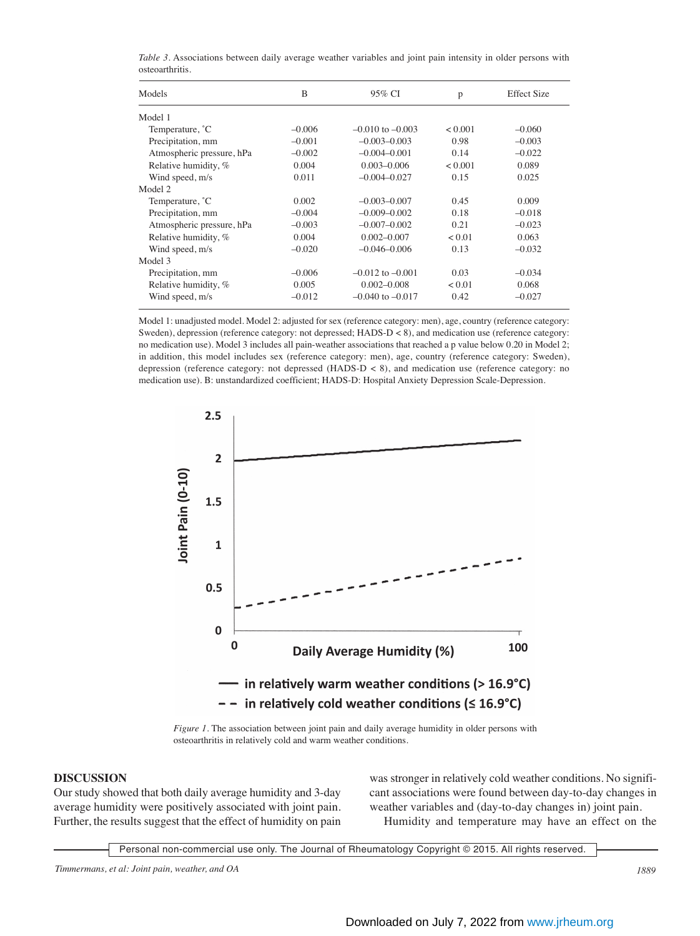| Models                    | B        | 95% CI               | p       | <b>Effect Size</b> |
|---------------------------|----------|----------------------|---------|--------------------|
| Model 1                   |          |                      |         |                    |
| Temperature, °C           | $-0.006$ | $-0.010$ to $-0.003$ | < 0.001 | $-0.060$           |
| Precipitation, mm         | $-0.001$ | $-0.003 - 0.003$     | 0.98    | $-0.003$           |
| Atmospheric pressure, hPa | $-0.002$ | $-0.004 - 0.001$     | 0.14    | $-0.022$           |
| Relative humidity, %      | 0.004    | $0.003 - 0.006$      | < 0.001 | 0.089              |
| Wind speed, m/s           | 0.011    | $-0.004 - 0.027$     | 0.15    | 0.025              |
| Model 2                   |          |                      |         |                    |
| Temperature, °C           | 0.002    | $-0.003 - 0.007$     | 0.45    | 0.009              |
| Precipitation, mm         | $-0.004$ | $-0.009 - 0.002$     | 0.18    | $-0.018$           |
| Atmospheric pressure, hPa | $-0.003$ | $-0.007 - 0.002$     | 0.21    | $-0.023$           |
| Relative humidity, %      | 0.004    | $0.002 - 0.007$      | < 0.01  | 0.063              |
| Wind speed, m/s           | $-0.020$ | $-0.046 - 0.006$     | 0.13    | $-0.032$           |
| Model 3                   |          |                      |         |                    |
| Precipitation, mm         | $-0.006$ | $-0.012$ to $-0.001$ | 0.03    | $-0.034$           |
| Relative humidity, %      | 0.005    | $0.002 - 0.008$      | < 0.01  | 0.068              |
| Wind speed, m/s           | $-0.012$ | $-0.040$ to $-0.017$ | 0.42    | $-0.027$           |
|                           |          |                      |         |                    |

*Table 3.* Associations between daily average weather variables and joint pain intensity in older persons with osteoarthritis.

Model 1: unadjusted model. Model 2: adjusted for sex (reference category: men), age, country (reference category: Sweden), depression (reference category: not depressed; HADS-D < 8), and medication use (reference category: no medication use). Model 3 includes all pain-weather associations that reached a p value below 0.20 in Model 2; in addition, this model includes sex (reference category: men), age, country (reference category: Sweden), depression (reference category: not depressed (HADS-D < 8), and medication use (reference category: no medication use). B: unstandardized coefficient; HADS-D: Hospital Anxiety Depression Scale-Depression.



*Figure 1.* The association between joint pain and daily average humidity in older persons with osteoarthritis in relatively cold and warm weather conditions.

# **DISCUSSION**

Our study showed that both daily average humidity and 3-day average humidity were positively associated with joint pain. Further, the results suggest that the effect of humidity on pain was stronger in relatively cold weather conditions. No significant associations were found between day-to-day changes in weather variables and (day-to-day changes in) joint pain.

Humidity and temperature may have an effect on the

Personal non-commercial use only. The Journal of Rheumatology Copyright © 2015. All rights reserved.

*Timmermans, et al: Joint pain, weather, and OA 1889*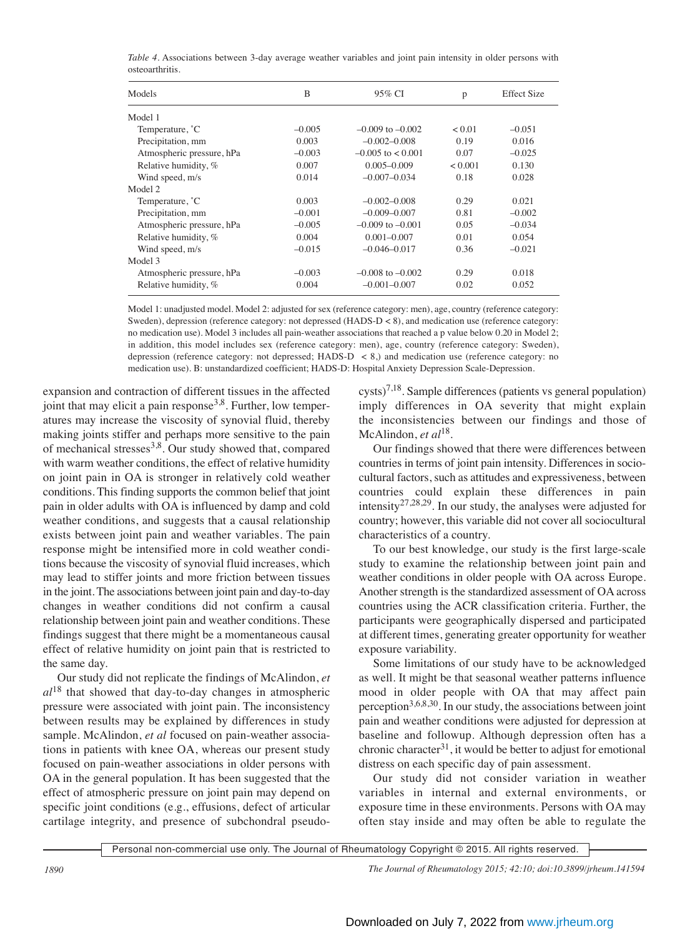*Table 4.* Associations between 3-day average weather variables and joint pain intensity in older persons with osteoarthritis.

| Models                    | B        | 95% CI                | p       | <b>Effect Size</b> |
|---------------------------|----------|-----------------------|---------|--------------------|
| Model 1                   |          |                       |         |                    |
| Temperature, °C           | $-0.005$ | $-0.009$ to $-0.002$  | < 0.01  | $-0.051$           |
| Precipitation, mm         | 0.003    | $-0.002 - 0.008$      | 0.19    | 0.016              |
| Atmospheric pressure, hPa | $-0.003$ | $-0.005$ to $< 0.001$ | 0.07    | $-0.025$           |
| Relative humidity, %      | 0.007    | $0.005 - 0.009$       | < 0.001 | 0.130              |
| Wind speed, m/s           | 0.014    | $-0.007 - 0.034$      | 0.18    | 0.028              |
| Model 2                   |          |                       |         |                    |
| Temperature, °C           | 0.003    | $-0.002 - 0.008$      | 0.29    | 0.021              |
| Precipitation, mm         | $-0.001$ | $-0.009 - 0.007$      | 0.81    | $-0.002$           |
| Atmospheric pressure, hPa | $-0.005$ | $-0.009$ to $-0.001$  | 0.05    | $-0.034$           |
| Relative humidity, %      | 0.004    | $0.001 - 0.007$       | 0.01    | 0.054              |
| Wind speed, m/s           | $-0.015$ | $-0.046 - 0.017$      | 0.36    | $-0.021$           |
| Model 3                   |          |                       |         |                    |
| Atmospheric pressure, hPa | $-0.003$ | $-0.008$ to $-0.002$  | 0.29    | 0.018              |
| Relative humidity, %      | 0.004    | $-0.001 - 0.007$      | 0.02    | 0.052              |

Model 1: unadjusted model. Model 2: adjusted for sex (reference category: men), age, country (reference category: Sweden), depression (reference category: not depressed (HADS-D < 8), and medication use (reference category: no medication use). Model 3 includes all pain-weather associations that reached a p value below 0.20 in Model 2; in addition, this model includes sex (reference category: men), age, country (reference category: Sweden), depression (reference category: not depressed; HADS-D  $\lt$  8,) and medication use (reference category: no medication use). B: unstandardized coefficient; HADS-D: Hospital Anxiety Depression Scale-Depression.

expansion and contraction of different tissues in the affected joint that may elicit a pain response<sup>3,8</sup>. Further, low temperatures may increase the viscosity of synovial fluid, thereby making joints stiffer and perhaps more sensitive to the pain of mechanical stresses3,8. Our study showed that, compared with warm weather conditions, the effect of relative humidity on joint pain in OA is stronger in relatively cold weather conditions. This finding supports the common belief that joint pain in older adults with OA is influenced by damp and cold weather conditions, and suggests that a causal relationship exists between joint pain and weather variables. The pain response might be intensified more in cold weather conditions because the viscosity of synovial fluid increases, which may lead to stiffer joints and more friction between tissues in the joint. The associations between joint pain and day-to-day changes in weather conditions did not confirm a causal relationship between joint pain and weather conditions. These findings suggest that there might be a momentaneous causal effect of relative humidity on joint pain that is restricted to the same day.

Our study did not replicate the findings of McAlindon, *et al*<sup>18</sup> that showed that day-to-day changes in atmospheric pressure were associated with joint pain. The inconsistency between results may be explained by differences in study sample. McAlindon, *et al* focused on pain-weather associations in patients with knee OA, whereas our present study focused on pain-weather associations in older persons with OA in the general population. It has been suggested that the effect of atmospheric pressure on joint pain may depend on specific joint conditions (e.g., effusions, defect of articular cartilage integrity, and presence of subchondral pseudo-

 $\text{cysts}\right)^{7,18}$ . Sample differences (patients vs general population) imply differences in OA severity that might explain the inconsistencies between our findings and those of McAlindon, *et al*<sup>18</sup>.

Our findings showed that there were differences between countries in terms of joint pain intensity. Differences in sociocultural factors, such as attitudes and expressiveness, between countries could explain these differences in pain intensity<sup>27,28,29</sup>. In our study, the analyses were adjusted for country; however, this variable did not cover all sociocultural characteristics of a country.

To our best knowledge, our study is the first large-scale study to examine the relationship between joint pain and weather conditions in older people with OA across Europe. Another strength is the standardized assessment of OA across countries using the ACR classification criteria. Further, the participants were geographically dispersed and participated at different times, generating greater opportunity for weather exposure variability.

Some limitations of our study have to be acknowledged as well. It might be that seasonal weather patterns influence mood in older people with OA that may affect pain perception<sup>3,6,8,30</sup>. In our study, the associations between joint pain and weather conditions were adjusted for depression at baseline and followup. Although depression often has a chronic character $31$ , it would be better to adjust for emotional distress on each specific day of pain assessment.

Our study did not consider variation in weather variables in internal and external environments, or exposure time in these environments. Persons with OA may often stay inside and may often be able to regulate the

Personal non-commercial use only. The Journal of Rheumatology Copyright © 2015. All rights reserved.

*1890 The Journal of Rheumatology 2015; 42:10; doi:10.3899/jrheum.141594*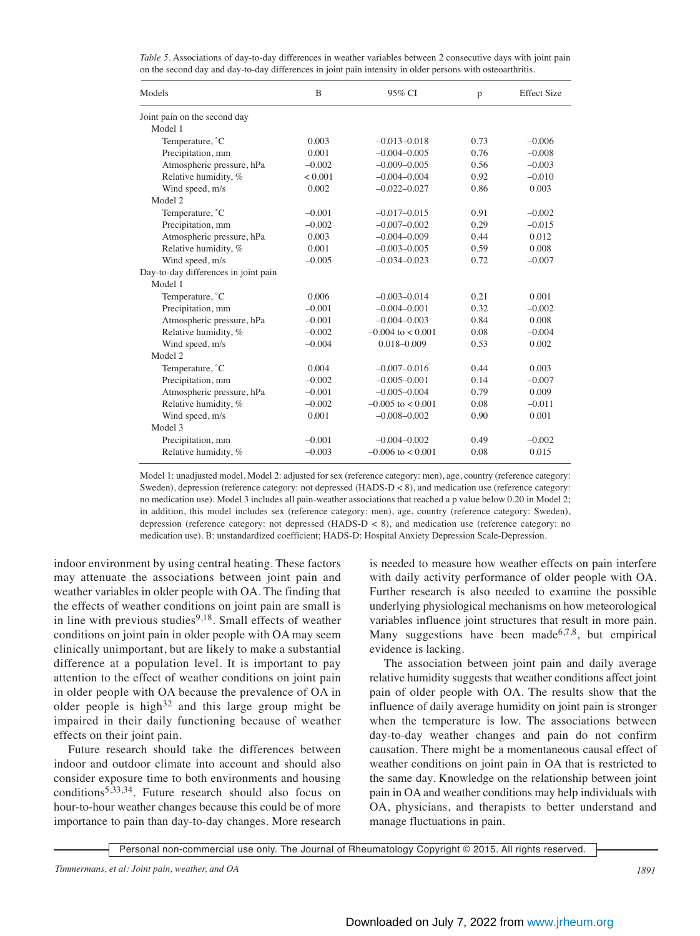*Table 5.* Associations of day-to-day differences in weather variables between 2 consecutive days with joint pain on the second day and day-to-day differences in joint pain intensity in older persons with osteoarthritis.

| Models                               | B        | 95% CI                | p    | <b>Effect Size</b> |
|--------------------------------------|----------|-----------------------|------|--------------------|
| Joint pain on the second day         |          |                       |      |                    |
| Model 1                              |          |                       |      |                    |
| Temperature, °C                      | 0.003    | $-0.013 - 0.018$      | 0.73 | $-0.006$           |
| Precipitation, mm                    | 0.001    | $-0.004 - 0.005$      | 0.76 | $-0.008$           |
| Atmospheric pressure, hPa            | $-0.002$ | $-0.009 - 0.005$      | 0.56 | $-0.003$           |
| Relative humidity, %                 | < 0.001  | $-0.004 - 0.004$      | 0.92 | $-0.010$           |
| Wind speed, m/s                      | 0.002    | $-0.022 - 0.027$      | 0.86 | 0.003              |
| Model 2                              |          |                       |      |                    |
| Temperature, °C                      | $-0.001$ | $-0.017 - 0.015$      | 0.91 | $-0.002$           |
| Precipitation, mm                    | $-0.002$ | $-0.007 - 0.002$      | 0.29 | $-0.015$           |
| Atmospheric pressure, hPa            | 0.003    | $-0.004 - 0.009$      | 0.44 | 0.012              |
| Relative humidity, %                 | 0.001    | $-0.003 - 0.005$      | 0.59 | 0.008              |
| Wind speed, m/s                      | $-0.005$ | $-0.034 - 0.023$      | 0.72 | $-0.007$           |
| Day-to-day differences in joint pain |          |                       |      |                    |
| Model 1                              |          |                       |      |                    |
| Temperature, °C                      | 0.006    | $-0.003 - 0.014$      | 0.21 | 0.001              |
| Precipitation, mm                    | $-0.001$ | $-0.004 - 0.001$      | 0.32 | $-0.002$           |
| Atmospheric pressure, hPa            | $-0.001$ | $-0.004 - 0.003$      | 0.84 | 0.008              |
| Relative humidity, %                 | $-0.002$ | $-0.004$ to $< 0.001$ | 0.08 | $-0.004$           |
| Wind speed, m/s                      | $-0.004$ | $0.018 - 0.009$       | 0.53 | 0.002              |
| Model 2                              |          |                       |      |                    |
| Temperature, °C                      | 0.004    | $-0.007 - 0.016$      | 0.44 | 0.003              |
| Precipitation, mm                    | $-0.002$ | $-0.005 - 0.001$      | 0.14 | $-0.007$           |
| Atmospheric pressure, hPa            | $-0.001$ | $-0.005 - 0.004$      | 0.79 | 0.009              |
| Relative humidity, %                 | $-0.002$ | $-0.005$ to $< 0.001$ | 0.08 | $-0.011$           |
| Wind speed, m/s                      | 0.001    | $-0.008 - 0.002$      | 0.90 | 0.001              |
| Model 3                              |          |                       |      |                    |
| Precipitation, mm                    | $-0.001$ | $-0.004 - 0.002$      | 0.49 | $-0.002$           |
| Relative humidity, %                 | $-0.003$ | $-0.006$ to $< 0.001$ | 0.08 | 0.015              |

Model 1: unadjusted model. Model 2: adjusted for sex (reference category: men), age, country (reference category: Sweden), depression (reference category: not depressed (HADS-D < 8), and medication use (reference category: no medication use). Model 3 includes all pain-weather associations that reached a p value below 0.20 in Model 2; in addition, this model includes sex (reference category: men), age, country (reference category: Sweden), depression (reference category: not depressed (HADS-D < 8), and medication use (reference category: no medication use). B: unstandardized coefficient; HADS-D: Hospital Anxiety Depression Scale-Depression.

indoor environment by using central heating. These factors may attenuate the associations between joint pain and weather variables in older people with OA. The finding that the effects of weather conditions on joint pain are small is in line with previous studies $9,18$ . Small effects of weather conditions on joint pain in older people with OA may seem clinically unimportant, but are likely to make a substantial difference at a population level. It is important to pay attention to the effect of weather conditions on joint pain in older people with OA because the prevalence of OA in older people is high $32$  and this large group might be impaired in their daily functioning because of weather effects on their joint pain.

Future research should take the differences between indoor and outdoor climate into account and should also consider exposure time to both environments and housing conditions<sup>5,33,34</sup>. Future research should also focus on hour-to-hour weather changes because this could be of more importance to pain than day-to-day changes. More research is needed to measure how weather effects on pain interfere with daily activity performance of older people with OA. Further research is also needed to examine the possible underlying physiological mechanisms on how meteorological variables influence joint structures that result in more pain. Many suggestions have been made<sup>6,7,8</sup>, but empirical evidence is lacking.

The association between joint pain and daily average relative humidity suggests that weather conditions affect joint pain of older people with OA. The results show that the influence of daily average humidity on joint pain is stronger when the temperature is low. The associations between day-to-day weather changes and pain do not confirm causation. There might be a momentaneous causal effect of weather conditions on joint pain in OA that is restricted to the same day. Knowledge on the relationship between joint pain in OA and weather conditions may help individuals with OA, physicians, and therapists to better understand and manage fluctuations in pain.